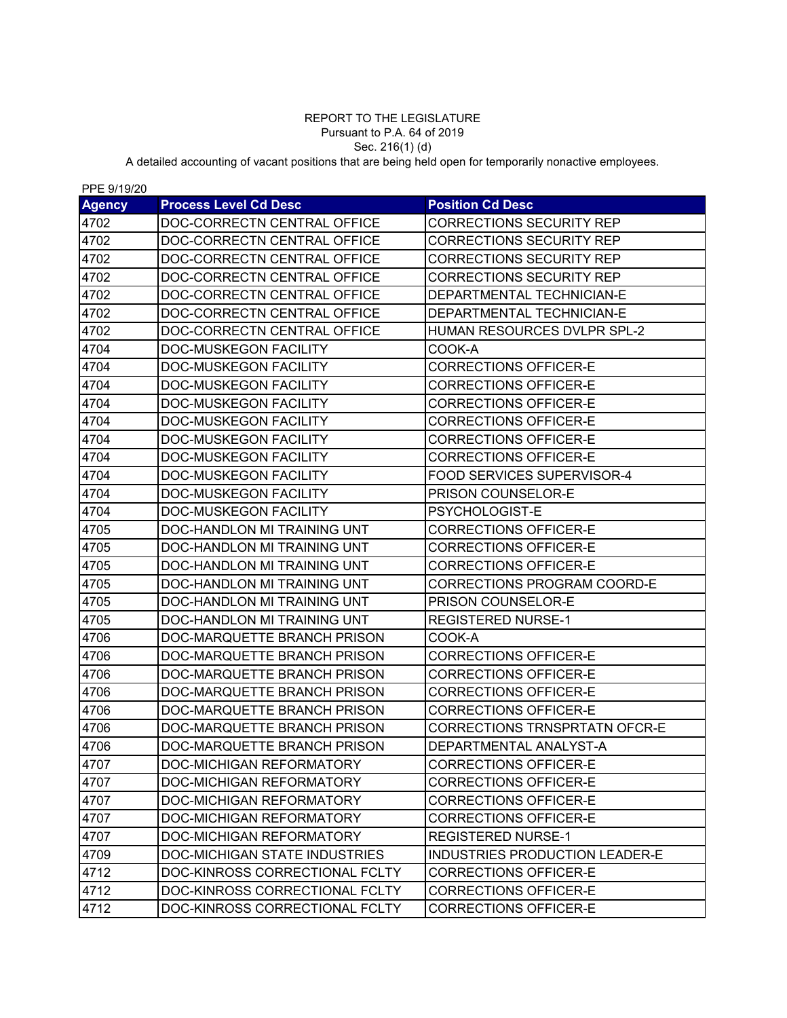## REPORT TO THE LEGISLATURE Pursuant to P.A. 64 of 2019 Sec. 216(1) (d)

A detailed accounting of vacant positions that are being held open for temporarily nonactive employees.

| PPE 9/19/20   |                                      |                                      |
|---------------|--------------------------------------|--------------------------------------|
| <b>Agency</b> | <b>Process Level Cd Desc</b>         | <b>Position Cd Desc</b>              |
| 4702          | DOC-CORRECTN CENTRAL OFFICE          | <b>CORRECTIONS SECURITY REP</b>      |
| 4702          | DOC-CORRECTN CENTRAL OFFICE          | <b>CORRECTIONS SECURITY REP</b>      |
| 4702          | DOC-CORRECTN CENTRAL OFFICE          | <b>CORRECTIONS SECURITY REP</b>      |
| 4702          | DOC-CORRECTN CENTRAL OFFICE          | <b>CORRECTIONS SECURITY REP</b>      |
| 4702          | DOC-CORRECTN CENTRAL OFFICE          | DEPARTMENTAL TECHNICIAN-E            |
| 4702          | DOC-CORRECTN CENTRAL OFFICE          | DEPARTMENTAL TECHNICIAN-E            |
| 4702          | DOC-CORRECTN CENTRAL OFFICE          | HUMAN RESOURCES DVLPR SPL-2          |
| 4704          | DOC-MUSKEGON FACILITY                | COOK-A                               |
| 4704          | DOC-MUSKEGON FACILITY                | <b>CORRECTIONS OFFICER-E</b>         |
| 4704          | DOC-MUSKEGON FACILITY                | <b>CORRECTIONS OFFICER-E</b>         |
| 4704          | DOC-MUSKEGON FACILITY                | <b>CORRECTIONS OFFICER-E</b>         |
| 4704          | <b>DOC-MUSKEGON FACILITY</b>         | <b>CORRECTIONS OFFICER-E</b>         |
| 4704          | DOC-MUSKEGON FACILITY                | <b>CORRECTIONS OFFICER-E</b>         |
| 4704          | <b>DOC-MUSKEGON FACILITY</b>         | <b>CORRECTIONS OFFICER-E</b>         |
| 4704          | <b>DOC-MUSKEGON FACILITY</b>         | <b>FOOD SERVICES SUPERVISOR-4</b>    |
| 4704          | <b>DOC-MUSKEGON FACILITY</b>         | PRISON COUNSELOR-E                   |
| 4704          | DOC-MUSKEGON FACILITY                | PSYCHOLOGIST-E                       |
| 4705          | DOC-HANDLON MI TRAINING UNT          | <b>CORRECTIONS OFFICER-E</b>         |
| 4705          | DOC-HANDLON MI TRAINING UNT          | <b>CORRECTIONS OFFICER-E</b>         |
| 4705          | DOC-HANDLON MI TRAINING UNT          | <b>CORRECTIONS OFFICER-E</b>         |
| 4705          | DOC-HANDLON MI TRAINING UNT          | CORRECTIONS PROGRAM COORD-E          |
| 4705          | DOC-HANDLON MI TRAINING UNT          | PRISON COUNSELOR-E                   |
| 4705          | DOC-HANDLON MI TRAINING UNT          | <b>REGISTERED NURSE-1</b>            |
| 4706          | DOC-MARQUETTE BRANCH PRISON          | COOK-A                               |
| 4706          | DOC-MARQUETTE BRANCH PRISON          | <b>CORRECTIONS OFFICER-E</b>         |
| 4706          | DOC-MARQUETTE BRANCH PRISON          | <b>CORRECTIONS OFFICER-E</b>         |
| 4706          | DOC-MARQUETTE BRANCH PRISON          | <b>CORRECTIONS OFFICER-E</b>         |
| 4706          | DOC-MARQUETTE BRANCH PRISON          | <b>CORRECTIONS OFFICER-E</b>         |
| 4706          | DOC-MARQUETTE BRANCH PRISON          | <b>CORRECTIONS TRNSPRTATN OFCR-E</b> |
| 4706          | DOC-MARQUETTE BRANCH PRISON          | DEPARTMENTAL ANALYST-A               |
| 4707          | DOC-MICHIGAN REFORMATORY             | <b>CORRECTIONS OFFICER-E</b>         |
| 4707          | DOC-MICHIGAN REFORMATORY             | <b>CORRECTIONS OFFICER-E</b>         |
| 4707          | DOC-MICHIGAN REFORMATORY             | <b>CORRECTIONS OFFICER-E</b>         |
| 4707          | DOC-MICHIGAN REFORMATORY             | <b>CORRECTIONS OFFICER-E</b>         |
| 4707          | DOC-MICHIGAN REFORMATORY             | <b>REGISTERED NURSE-1</b>            |
| 4709          | <b>DOC-MICHIGAN STATE INDUSTRIES</b> | INDUSTRIES PRODUCTION LEADER-E       |
| 4712          | DOC-KINROSS CORRECTIONAL FCLTY       | CORRECTIONS OFFICER-E                |
| 4712          | DOC-KINROSS CORRECTIONAL FCLTY       | <b>CORRECTIONS OFFICER-E</b>         |
| 4712          | DOC-KINROSS CORRECTIONAL FCLTY       | <b>CORRECTIONS OFFICER-E</b>         |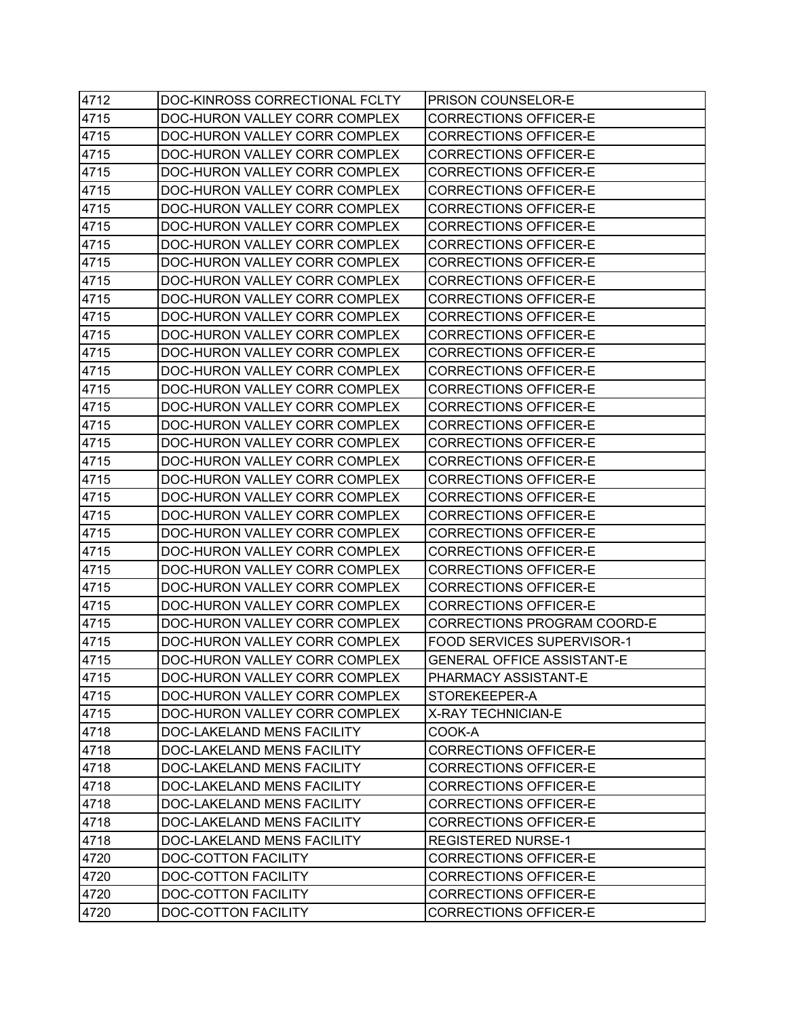| 4712 | DOC-KINROSS CORRECTIONAL FCLTY | PRISON COUNSELOR-E                 |
|------|--------------------------------|------------------------------------|
| 4715 | DOC-HURON VALLEY CORR COMPLEX  | <b>CORRECTIONS OFFICER-E</b>       |
| 4715 | DOC-HURON VALLEY CORR COMPLEX  | <b>CORRECTIONS OFFICER-E</b>       |
| 4715 | DOC-HURON VALLEY CORR COMPLEX  | <b>CORRECTIONS OFFICER-E</b>       |
| 4715 | DOC-HURON VALLEY CORR COMPLEX  | <b>CORRECTIONS OFFICER-E</b>       |
| 4715 | DOC-HURON VALLEY CORR COMPLEX  | <b>CORRECTIONS OFFICER-E</b>       |
| 4715 | DOC-HURON VALLEY CORR COMPLEX  | <b>CORRECTIONS OFFICER-E</b>       |
| 4715 | DOC-HURON VALLEY CORR COMPLEX  | <b>CORRECTIONS OFFICER-E</b>       |
| 4715 | DOC-HURON VALLEY CORR COMPLEX  | <b>CORRECTIONS OFFICER-E</b>       |
| 4715 | DOC-HURON VALLEY CORR COMPLEX  | <b>CORRECTIONS OFFICER-E</b>       |
| 4715 | DOC-HURON VALLEY CORR COMPLEX  | <b>CORRECTIONS OFFICER-E</b>       |
| 4715 | DOC-HURON VALLEY CORR COMPLEX  | <b>CORRECTIONS OFFICER-E</b>       |
| 4715 | DOC-HURON VALLEY CORR COMPLEX  | <b>CORRECTIONS OFFICER-E</b>       |
| 4715 | DOC-HURON VALLEY CORR COMPLEX  | <b>CORRECTIONS OFFICER-E</b>       |
| 4715 | DOC-HURON VALLEY CORR COMPLEX  | <b>CORRECTIONS OFFICER-E</b>       |
| 4715 | DOC-HURON VALLEY CORR COMPLEX  | <b>CORRECTIONS OFFICER-E</b>       |
| 4715 | DOC-HURON VALLEY CORR COMPLEX  | <b>CORRECTIONS OFFICER-E</b>       |
| 4715 | DOC-HURON VALLEY CORR COMPLEX  | <b>CORRECTIONS OFFICER-E</b>       |
| 4715 | DOC-HURON VALLEY CORR COMPLEX  | <b>CORRECTIONS OFFICER-E</b>       |
| 4715 | DOC-HURON VALLEY CORR COMPLEX  | <b>CORRECTIONS OFFICER-E</b>       |
| 4715 | DOC-HURON VALLEY CORR COMPLEX  | <b>CORRECTIONS OFFICER-E</b>       |
| 4715 | DOC-HURON VALLEY CORR COMPLEX  | <b>CORRECTIONS OFFICER-E</b>       |
| 4715 | DOC-HURON VALLEY CORR COMPLEX  | <b>CORRECTIONS OFFICER-E</b>       |
| 4715 | DOC-HURON VALLEY CORR COMPLEX  | <b>CORRECTIONS OFFICER-E</b>       |
| 4715 | DOC-HURON VALLEY CORR COMPLEX  | <b>CORRECTIONS OFFICER-E</b>       |
| 4715 | DOC-HURON VALLEY CORR COMPLEX  | <b>CORRECTIONS OFFICER-E</b>       |
| 4715 | DOC-HURON VALLEY CORR COMPLEX  | <b>CORRECTIONS OFFICER-E</b>       |
| 4715 | DOC-HURON VALLEY CORR COMPLEX  | <b>CORRECTIONS OFFICER-E</b>       |
| 4715 | DOC-HURON VALLEY CORR COMPLEX  | CORRECTIONS OFFICER-E              |
| 4715 | DOC-HURON VALLEY CORR COMPLEX  | <b>CORRECTIONS PROGRAM COORD-E</b> |
| 4715 | DOC-HURON VALLEY CORR COMPLEX  | FOOD SERVICES SUPERVISOR-1         |
| 4715 | DOC-HURON VALLEY CORR COMPLEX  | <b>GENERAL OFFICE ASSISTANT-E</b>  |
| 4715 | DOC-HURON VALLEY CORR COMPLEX  | PHARMACY ASSISTANT-E               |
| 4715 | DOC-HURON VALLEY CORR COMPLEX  | STOREKEEPER-A                      |
| 4715 | DOC-HURON VALLEY CORR COMPLEX  | <b>X-RAY TECHNICIAN-E</b>          |
| 4718 | DOC-LAKELAND MENS FACILITY     | COOK-A                             |
| 4718 | DOC-LAKELAND MENS FACILITY     | <b>CORRECTIONS OFFICER-E</b>       |
| 4718 | DOC-LAKELAND MENS FACILITY     | <b>CORRECTIONS OFFICER-E</b>       |
| 4718 | DOC-LAKELAND MENS FACILITY     | <b>CORRECTIONS OFFICER-E</b>       |
| 4718 | DOC-LAKELAND MENS FACILITY     | <b>CORRECTIONS OFFICER-E</b>       |
| 4718 | DOC-LAKELAND MENS FACILITY     | <b>CORRECTIONS OFFICER-E</b>       |
| 4718 | DOC-LAKELAND MENS FACILITY     | <b>REGISTERED NURSE-1</b>          |
| 4720 | DOC-COTTON FACILITY            | <b>CORRECTIONS OFFICER-E</b>       |
| 4720 | <b>DOC-COTTON FACILITY</b>     | <b>CORRECTIONS OFFICER-E</b>       |
| 4720 | DOC-COTTON FACILITY            | <b>CORRECTIONS OFFICER-E</b>       |
| 4720 | DOC-COTTON FACILITY            | CORRECTIONS OFFICER-E              |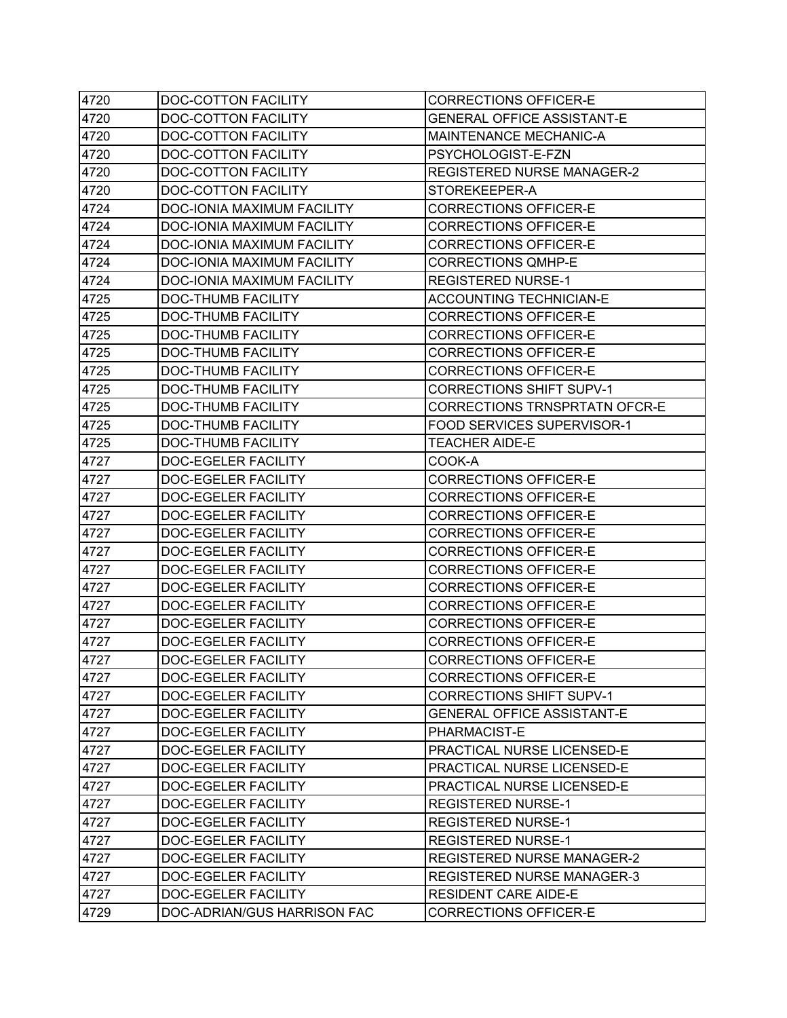| 4720 | <b>DOC-COTTON FACILITY</b>  | <b>CORRECTIONS OFFICER-E</b>      |
|------|-----------------------------|-----------------------------------|
| 4720 | DOC-COTTON FACILITY         | <b>GENERAL OFFICE ASSISTANT-E</b> |
| 4720 | DOC-COTTON FACILITY         | MAINTENANCE MECHANIC-A            |
| 4720 | DOC-COTTON FACILITY         | PSYCHOLOGIST-E-FZN                |
| 4720 | DOC-COTTON FACILITY         | <b>REGISTERED NURSE MANAGER-2</b> |
| 4720 | DOC-COTTON FACILITY         | STOREKEEPER-A                     |
| 4724 | DOC-IONIA MAXIMUM FACILITY  | <b>CORRECTIONS OFFICER-E</b>      |
| 4724 | DOC-IONIA MAXIMUM FACILITY  | <b>CORRECTIONS OFFICER-E</b>      |
| 4724 | DOC-IONIA MAXIMUM FACILITY  | CORRECTIONS OFFICER-E             |
| 4724 | DOC-IONIA MAXIMUM FACILITY  | <b>CORRECTIONS QMHP-E</b>         |
| 4724 | DOC-IONIA MAXIMUM FACILITY  | <b>REGISTERED NURSE-1</b>         |
| 4725 | DOC-THUMB FACILITY          | <b>ACCOUNTING TECHNICIAN-E</b>    |
| 4725 | <b>DOC-THUMB FACILITY</b>   | <b>CORRECTIONS OFFICER-E</b>      |
| 4725 | <b>DOC-THUMB FACILITY</b>   | <b>CORRECTIONS OFFICER-E</b>      |
| 4725 | <b>DOC-THUMB FACILITY</b>   | <b>CORRECTIONS OFFICER-E</b>      |
| 4725 | <b>DOC-THUMB FACILITY</b>   | <b>CORRECTIONS OFFICER-E</b>      |
| 4725 | DOC-THUMB FACILITY          | <b>CORRECTIONS SHIFT SUPV-1</b>   |
| 4725 | <b>DOC-THUMB FACILITY</b>   | CORRECTIONS TRNSPRTATN OFCR-E     |
| 4725 | <b>DOC-THUMB FACILITY</b>   | FOOD SERVICES SUPERVISOR-1        |
| 4725 | DOC-THUMB FACILITY          | <b>TEACHER AIDE-E</b>             |
| 4727 | <b>DOC-EGELER FACILITY</b>  | COOK-A                            |
| 4727 | DOC-EGELER FACILITY         | <b>CORRECTIONS OFFICER-E</b>      |
| 4727 | DOC-EGELER FACILITY         | <b>CORRECTIONS OFFICER-E</b>      |
| 4727 | DOC-EGELER FACILITY         | <b>CORRECTIONS OFFICER-E</b>      |
| 4727 | <b>DOC-EGELER FACILITY</b>  | <b>CORRECTIONS OFFICER-E</b>      |
| 4727 | DOC-EGELER FACILITY         | <b>CORRECTIONS OFFICER-E</b>      |
| 4727 | DOC-EGELER FACILITY         | <b>CORRECTIONS OFFICER-E</b>      |
| 4727 | DOC-EGELER FACILITY         | <b>CORRECTIONS OFFICER-E</b>      |
| 4727 | DOC-EGELER FACILITY         | <b>CORRECTIONS OFFICER-E</b>      |
| 4727 | DOC-EGELER FACILITY         | <b>CORRECTIONS OFFICER-E</b>      |
| 4727 | DOC-EGELER FACILITY         | <b>CORRECTIONS OFFICER-E</b>      |
| 4727 | <b>DOC-EGELER FACILITY</b>  | <b>CORRECTIONS OFFICER-E</b>      |
| 4727 | DOC-EGELER FACILITY         | <b>CORRECTIONS OFFICER-E</b>      |
| 4727 | DOC-EGELER FACILITY         | <b>CORRECTIONS SHIFT SUPV-1</b>   |
| 4727 | DOC-EGELER FACILITY         | <b>GENERAL OFFICE ASSISTANT-E</b> |
| 4727 | DOC-EGELER FACILITY         | PHARMACIST-E                      |
| 4727 | <b>DOC-EGELER FACILITY</b>  | PRACTICAL NURSE LICENSED-E        |
| 4727 | DOC-EGELER FACILITY         | PRACTICAL NURSE LICENSED-E        |
| 4727 | DOC-EGELER FACILITY         | PRACTICAL NURSE LICENSED-E        |
| 4727 | DOC-EGELER FACILITY         | <b>REGISTERED NURSE-1</b>         |
| 4727 | DOC-EGELER FACILITY         | <b>REGISTERED NURSE-1</b>         |
| 4727 | DOC-EGELER FACILITY         | <b>REGISTERED NURSE-1</b>         |
| 4727 | DOC-EGELER FACILITY         | <b>REGISTERED NURSE MANAGER-2</b> |
| 4727 | DOC-EGELER FACILITY         | <b>REGISTERED NURSE MANAGER-3</b> |
| 4727 | DOC-EGELER FACILITY         | <b>RESIDENT CARE AIDE-E</b>       |
| 4729 | DOC-ADRIAN/GUS HARRISON FAC | CORRECTIONS OFFICER-E             |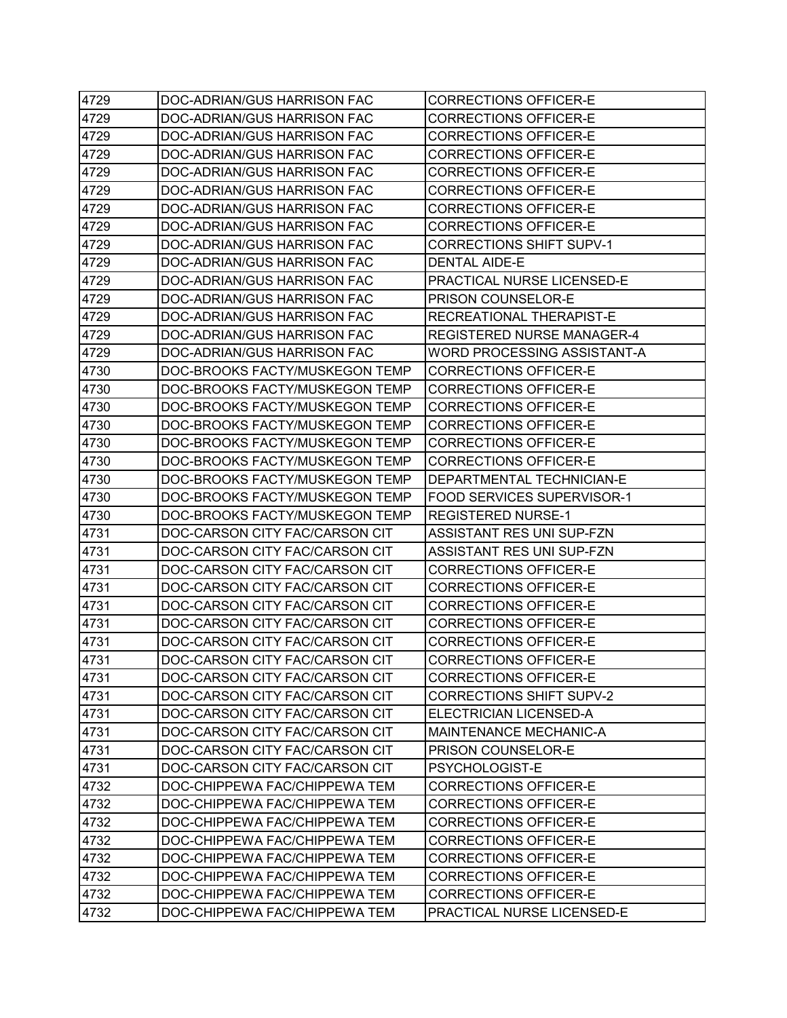| 4729 | DOC-ADRIAN/GUS HARRISON FAC    | <b>CORRECTIONS OFFICER-E</b>      |
|------|--------------------------------|-----------------------------------|
| 4729 | DOC-ADRIAN/GUS HARRISON FAC    | <b>CORRECTIONS OFFICER-E</b>      |
| 4729 | DOC-ADRIAN/GUS HARRISON FAC    | <b>CORRECTIONS OFFICER-E</b>      |
| 4729 | DOC-ADRIAN/GUS HARRISON FAC    | <b>CORRECTIONS OFFICER-E</b>      |
| 4729 | DOC-ADRIAN/GUS HARRISON FAC    | <b>CORRECTIONS OFFICER-E</b>      |
| 4729 | DOC-ADRIAN/GUS HARRISON FAC    | <b>CORRECTIONS OFFICER-E</b>      |
| 4729 | DOC-ADRIAN/GUS HARRISON FAC    | CORRECTIONS OFFICER-E             |
| 4729 | DOC-ADRIAN/GUS HARRISON FAC    | <b>CORRECTIONS OFFICER-E</b>      |
| 4729 | DOC-ADRIAN/GUS HARRISON FAC    | <b>CORRECTIONS SHIFT SUPV-1</b>   |
| 4729 | DOC-ADRIAN/GUS HARRISON FAC    | <b>DENTAL AIDE-E</b>              |
| 4729 | DOC-ADRIAN/GUS HARRISON FAC    | PRACTICAL NURSE LICENSED-E        |
| 4729 | DOC-ADRIAN/GUS HARRISON FAC    | PRISON COUNSELOR-E                |
| 4729 | DOC-ADRIAN/GUS HARRISON FAC    | RECREATIONAL THERAPIST-E          |
| 4729 | DOC-ADRIAN/GUS HARRISON FAC    | <b>REGISTERED NURSE MANAGER-4</b> |
| 4729 | DOC-ADRIAN/GUS HARRISON FAC    | WORD PROCESSING ASSISTANT-A       |
| 4730 | DOC-BROOKS FACTY/MUSKEGON TEMP | <b>CORRECTIONS OFFICER-E</b>      |
| 4730 | DOC-BROOKS FACTY/MUSKEGON TEMP | <b>CORRECTIONS OFFICER-E</b>      |
| 4730 | DOC-BROOKS FACTY/MUSKEGON TEMP | <b>CORRECTIONS OFFICER-E</b>      |
| 4730 | DOC-BROOKS FACTY/MUSKEGON TEMP | <b>CORRECTIONS OFFICER-E</b>      |
| 4730 | DOC-BROOKS FACTY/MUSKEGON TEMP | <b>CORRECTIONS OFFICER-E</b>      |
| 4730 | DOC-BROOKS FACTY/MUSKEGON TEMP | <b>CORRECTIONS OFFICER-E</b>      |
| 4730 | DOC-BROOKS FACTY/MUSKEGON TEMP | DEPARTMENTAL TECHNICIAN-E         |
| 4730 | DOC-BROOKS FACTY/MUSKEGON TEMP | FOOD SERVICES SUPERVISOR-1        |
| 4730 | DOC-BROOKS FACTY/MUSKEGON TEMP | <b>REGISTERED NURSE-1</b>         |
| 4731 | DOC-CARSON CITY FAC/CARSON CIT | ASSISTANT RES UNI SUP-FZN         |
| 4731 | DOC-CARSON CITY FAC/CARSON CIT | ASSISTANT RES UNI SUP-FZN         |
| 4731 | DOC-CARSON CITY FAC/CARSON CIT | <b>CORRECTIONS OFFICER-E</b>      |
| 4731 | DOC-CARSON CITY FAC/CARSON CIT | <b>CORRECTIONS OFFICER-E</b>      |
| 4731 | DOC-CARSON CITY FAC/CARSON CIT | <b>CORRECTIONS OFFICER-E</b>      |
| 4731 | DOC-CARSON CITY FAC/CARSON CIT | <b>CORRECTIONS OFFICER-E</b>      |
| 4731 | DOC-CARSON CITY FAC/CARSON CIT | <b>CORRECTIONS OFFICER-E</b>      |
| 4731 | DOC-CARSON CITY FAC/CARSON CIT | <b>CORRECTIONS OFFICER-E</b>      |
| 4731 | DOC-CARSON CITY FAC/CARSON CIT | <b>CORRECTIONS OFFICER-E</b>      |
| 4731 | DOC-CARSON CITY FAC/CARSON CIT | <b>CORRECTIONS SHIFT SUPV-2</b>   |
| 4731 | DOC-CARSON CITY FAC/CARSON CIT | ELECTRICIAN LICENSED-A            |
| 4731 | DOC-CARSON CITY FAC/CARSON CIT | MAINTENANCE MECHANIC-A            |
| 4731 | DOC-CARSON CITY FAC/CARSON CIT | PRISON COUNSELOR-E                |
| 4731 | DOC-CARSON CITY FAC/CARSON CIT | PSYCHOLOGIST-E                    |
| 4732 | DOC-CHIPPEWA FAC/CHIPPEWA TEM  | <b>CORRECTIONS OFFICER-E</b>      |
| 4732 | DOC-CHIPPEWA FAC/CHIPPEWA TEM  | <b>CORRECTIONS OFFICER-E</b>      |
| 4732 | DOC-CHIPPEWA FAC/CHIPPEWA TEM  | <b>CORRECTIONS OFFICER-E</b>      |
| 4732 | DOC-CHIPPEWA FAC/CHIPPEWA TEM  | <b>CORRECTIONS OFFICER-E</b>      |
| 4732 | DOC-CHIPPEWA FAC/CHIPPEWA TEM  | <b>CORRECTIONS OFFICER-E</b>      |
| 4732 | DOC-CHIPPEWA FAC/CHIPPEWA TEM  | <b>CORRECTIONS OFFICER-E</b>      |
| 4732 | DOC-CHIPPEWA FAC/CHIPPEWA TEM  | <b>CORRECTIONS OFFICER-E</b>      |
| 4732 | DOC-CHIPPEWA FAC/CHIPPEWA TEM  | PRACTICAL NURSE LICENSED-E        |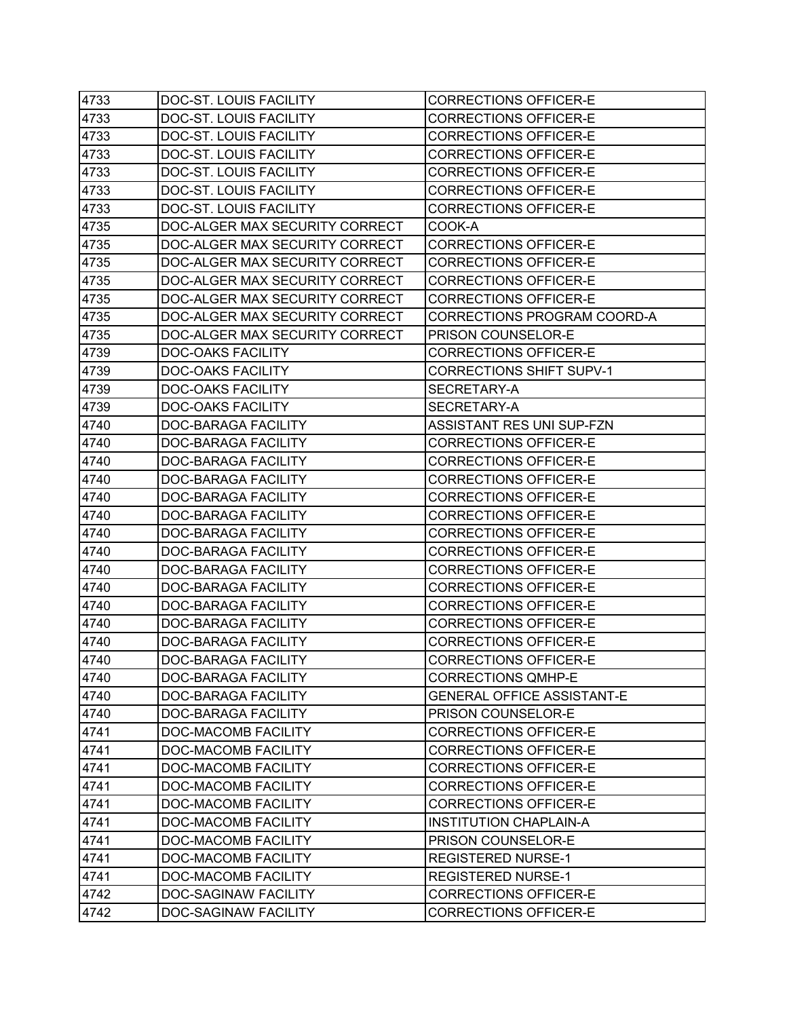| 4733 | DOC-ST. LOUIS FACILITY         | <b>CORRECTIONS OFFICER-E</b>      |
|------|--------------------------------|-----------------------------------|
| 4733 | DOC-ST. LOUIS FACILITY         | <b>CORRECTIONS OFFICER-E</b>      |
| 4733 | DOC-ST. LOUIS FACILITY         | <b>CORRECTIONS OFFICER-E</b>      |
| 4733 | DOC-ST. LOUIS FACILITY         | <b>CORRECTIONS OFFICER-E</b>      |
| 4733 | DOC-ST. LOUIS FACILITY         | <b>CORRECTIONS OFFICER-E</b>      |
| 4733 | DOC-ST. LOUIS FACILITY         | <b>CORRECTIONS OFFICER-E</b>      |
| 4733 | DOC-ST. LOUIS FACILITY         | <b>CORRECTIONS OFFICER-E</b>      |
| 4735 | DOC-ALGER MAX SECURITY CORRECT | COOK-A                            |
| 4735 | DOC-ALGER MAX SECURITY CORRECT | <b>CORRECTIONS OFFICER-E</b>      |
| 4735 | DOC-ALGER MAX SECURITY CORRECT | <b>CORRECTIONS OFFICER-E</b>      |
| 4735 | DOC-ALGER MAX SECURITY CORRECT | <b>CORRECTIONS OFFICER-E</b>      |
| 4735 | DOC-ALGER MAX SECURITY CORRECT | <b>CORRECTIONS OFFICER-E</b>      |
| 4735 | DOC-ALGER MAX SECURITY CORRECT | CORRECTIONS PROGRAM COORD-A       |
| 4735 | DOC-ALGER MAX SECURITY CORRECT | PRISON COUNSELOR-E                |
| 4739 | DOC-OAKS FACILITY              | <b>CORRECTIONS OFFICER-E</b>      |
| 4739 | DOC-OAKS FACILITY              | <b>CORRECTIONS SHIFT SUPV-1</b>   |
| 4739 | <b>DOC-OAKS FACILITY</b>       | SECRETARY-A                       |
| 4739 | DOC-OAKS FACILITY              | SECRETARY-A                       |
| 4740 | DOC-BARAGA FACILITY            | ASSISTANT RES UNI SUP-FZN         |
| 4740 | <b>DOC-BARAGA FACILITY</b>     | <b>CORRECTIONS OFFICER-E</b>      |
| 4740 | <b>DOC-BARAGA FACILITY</b>     | <b>CORRECTIONS OFFICER-E</b>      |
| 4740 | DOC-BARAGA FACILITY            | <b>CORRECTIONS OFFICER-E</b>      |
| 4740 | DOC-BARAGA FACILITY            | <b>CORRECTIONS OFFICER-E</b>      |
| 4740 | DOC-BARAGA FACILITY            | <b>CORRECTIONS OFFICER-E</b>      |
| 4740 | DOC-BARAGA FACILITY            | <b>CORRECTIONS OFFICER-E</b>      |
| 4740 | DOC-BARAGA FACILITY            | <b>CORRECTIONS OFFICER-E</b>      |
| 4740 | DOC-BARAGA FACILITY            | <b>CORRECTIONS OFFICER-E</b>      |
| 4740 | DOC-BARAGA FACILITY            | <b>CORRECTIONS OFFICER-E</b>      |
| 4740 | DOC-BARAGA FACILITY            | <b>CORRECTIONS OFFICER-E</b>      |
| 4740 | DOC-BARAGA FACILITY            | <b>CORRECTIONS OFFICER-E</b>      |
| 4740 | <b>DOC-BARAGA FACILITY</b>     | <b>CORRECTIONS OFFICER-E</b>      |
| 4740 | DOC-BARAGA FACILITY            | <b>CORRECTIONS OFFICER-E</b>      |
| 4740 | DOC-BARAGA FACILITY            | <b>CORRECTIONS QMHP-E</b>         |
| 4740 | DOC-BARAGA FACILITY            | <b>GENERAL OFFICE ASSISTANT-E</b> |
| 4740 | DOC-BARAGA FACILITY            | PRISON COUNSELOR-E                |
| 4741 | DOC-MACOMB FACILITY            | <b>CORRECTIONS OFFICER-E</b>      |
| 4741 | DOC-MACOMB FACILITY            | <b>CORRECTIONS OFFICER-E</b>      |
| 4741 | DOC-MACOMB FACILITY            | <b>CORRECTIONS OFFICER-E</b>      |
| 4741 | DOC-MACOMB FACILITY            | <b>CORRECTIONS OFFICER-E</b>      |
| 4741 | DOC-MACOMB FACILITY            | <b>CORRECTIONS OFFICER-E</b>      |
| 4741 | DOC-MACOMB FACILITY            | <b>INSTITUTION CHAPLAIN-A</b>     |
| 4741 | DOC-MACOMB FACILITY            | PRISON COUNSELOR-E                |
| 4741 | DOC-MACOMB FACILITY            | <b>REGISTERED NURSE-1</b>         |
| 4741 | DOC-MACOMB FACILITY            | <b>REGISTERED NURSE-1</b>         |
| 4742 | DOC-SAGINAW FACILITY           | <b>CORRECTIONS OFFICER-E</b>      |
| 4742 | DOC-SAGINAW FACILITY           | <b>CORRECTIONS OFFICER-E</b>      |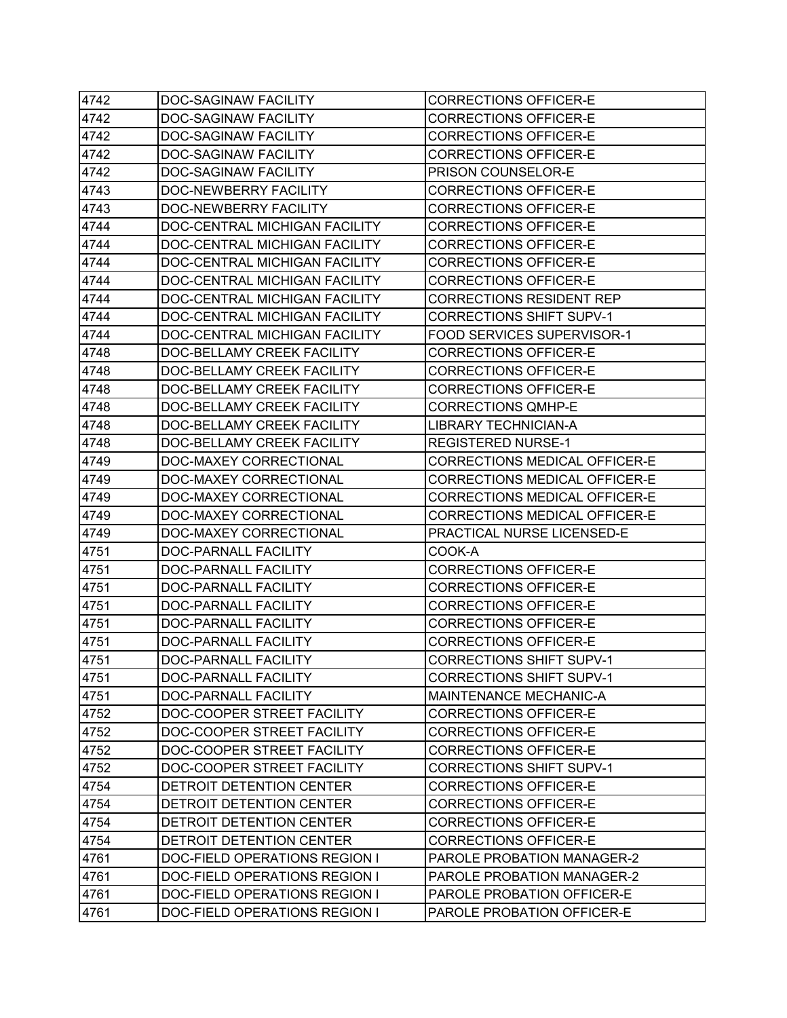| 4742 | <b>DOC-SAGINAW FACILITY</b>          | <b>CORRECTIONS OFFICER-E</b>    |
|------|--------------------------------------|---------------------------------|
| 4742 | DOC-SAGINAW FACILITY                 | <b>CORRECTIONS OFFICER-E</b>    |
| 4742 | DOC-SAGINAW FACILITY                 | <b>CORRECTIONS OFFICER-E</b>    |
| 4742 | DOC-SAGINAW FACILITY                 | <b>CORRECTIONS OFFICER-E</b>    |
| 4742 | DOC-SAGINAW FACILITY                 | PRISON COUNSELOR-E              |
| 4743 | DOC-NEWBERRY FACILITY                | <b>CORRECTIONS OFFICER-E</b>    |
| 4743 | DOC-NEWBERRY FACILITY                | <b>CORRECTIONS OFFICER-E</b>    |
| 4744 | DOC-CENTRAL MICHIGAN FACILITY        | <b>CORRECTIONS OFFICER-E</b>    |
| 4744 | DOC-CENTRAL MICHIGAN FACILITY        | <b>CORRECTIONS OFFICER-E</b>    |
| 4744 | DOC-CENTRAL MICHIGAN FACILITY        | <b>CORRECTIONS OFFICER-E</b>    |
| 4744 | DOC-CENTRAL MICHIGAN FACILITY        | CORRECTIONS OFFICER-E           |
| 4744 | DOC-CENTRAL MICHIGAN FACILITY        | CORRECTIONS RESIDENT REP        |
| 4744 | DOC-CENTRAL MICHIGAN FACILITY        | <b>CORRECTIONS SHIFT SUPV-1</b> |
| 4744 | DOC-CENTRAL MICHIGAN FACILITY        | FOOD SERVICES SUPERVISOR-1      |
| 4748 | DOC-BELLAMY CREEK FACILITY           | <b>CORRECTIONS OFFICER-E</b>    |
| 4748 | DOC-BELLAMY CREEK FACILITY           | <b>CORRECTIONS OFFICER-E</b>    |
| 4748 | DOC-BELLAMY CREEK FACILITY           | CORRECTIONS OFFICER-E           |
| 4748 | DOC-BELLAMY CREEK FACILITY           | <b>CORRECTIONS QMHP-E</b>       |
| 4748 | DOC-BELLAMY CREEK FACILITY           | <b>LIBRARY TECHNICIAN-A</b>     |
| 4748 | DOC-BELLAMY CREEK FACILITY           | <b>REGISTERED NURSE-1</b>       |
| 4749 | DOC-MAXEY CORRECTIONAL               | CORRECTIONS MEDICAL OFFICER-E   |
| 4749 | DOC-MAXEY CORRECTIONAL               | CORRECTIONS MEDICAL OFFICER-E   |
| 4749 | DOC-MAXEY CORRECTIONAL               | CORRECTIONS MEDICAL OFFICER-E   |
| 4749 | DOC-MAXEY CORRECTIONAL               | CORRECTIONS MEDICAL OFFICER-E   |
| 4749 | DOC-MAXEY CORRECTIONAL               | PRACTICAL NURSE LICENSED-E      |
| 4751 | DOC-PARNALL FACILITY                 | COOK-A                          |
| 4751 | DOC-PARNALL FACILITY                 | <b>CORRECTIONS OFFICER-E</b>    |
| 4751 | DOC-PARNALL FACILITY                 | <b>CORRECTIONS OFFICER-E</b>    |
| 4751 | DOC-PARNALL FACILITY                 | <b>CORRECTIONS OFFICER-E</b>    |
| 4751 | DOC-PARNALL FACILITY                 | <b>CORRECTIONS OFFICER-E</b>    |
| 4751 | <b>DOC-PARNALL FACILITY</b>          | <b>CORRECTIONS OFFICER-E</b>    |
| 4751 | DOC-PARNALL FACILITY                 | <b>CORRECTIONS SHIFT SUPV-1</b> |
| 4751 | DOC-PARNALL FACILITY                 | <b>CORRECTIONS SHIFT SUPV-1</b> |
| 4751 | DOC-PARNALL FACILITY                 | <b>MAINTENANCE MECHANIC-A</b>   |
| 4752 | DOC-COOPER STREET FACILITY           | <b>CORRECTIONS OFFICER-E</b>    |
| 4752 | DOC-COOPER STREET FACILITY           | <b>CORRECTIONS OFFICER-E</b>    |
| 4752 | DOC-COOPER STREET FACILITY           | <b>CORRECTIONS OFFICER-E</b>    |
| 4752 | DOC-COOPER STREET FACILITY           | <b>CORRECTIONS SHIFT SUPV-1</b> |
| 4754 | DETROIT DETENTION CENTER             | <b>CORRECTIONS OFFICER-E</b>    |
| 4754 | DETROIT DETENTION CENTER             | <b>CORRECTIONS OFFICER-E</b>    |
| 4754 | DETROIT DETENTION CENTER             | <b>CORRECTIONS OFFICER-E</b>    |
| 4754 | DETROIT DETENTION CENTER             | <b>CORRECTIONS OFFICER-E</b>    |
| 4761 | <b>DOC-FIELD OPERATIONS REGION I</b> | PAROLE PROBATION MANAGER-2      |
| 4761 | DOC-FIELD OPERATIONS REGION I        | PAROLE PROBATION MANAGER-2      |
| 4761 | DOC-FIELD OPERATIONS REGION I        | PAROLE PROBATION OFFICER-E      |
| 4761 | DOC-FIELD OPERATIONS REGION I        | PAROLE PROBATION OFFICER-E      |